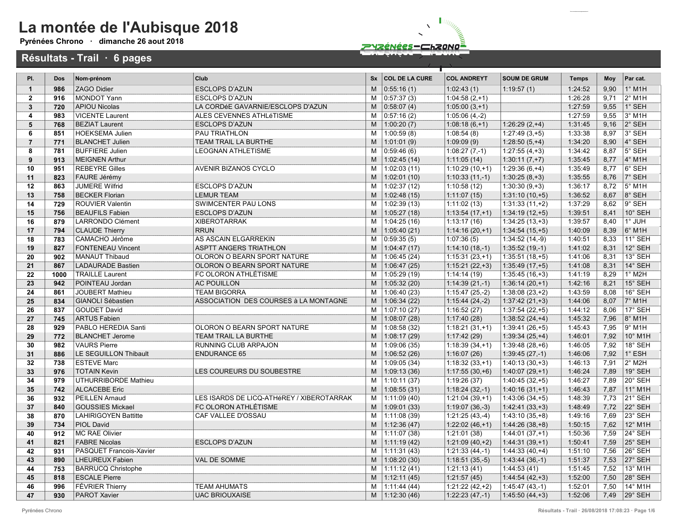Pyrénées Chrono · dimanche 26 aout 2018



| PI.            | <b>Dos</b> | Nom-prénom                  | Club                                      | Sx | <b>COL DE LA CURE</b> | <b>COL ANDREYT</b> | <b>SOUM DE GRUM</b> | <b>Temps</b> | Moy  | Par cat.                   |
|----------------|------------|-----------------------------|-------------------------------------------|----|-----------------------|--------------------|---------------------|--------------|------|----------------------------|
| $\mathbf{1}$   | 986        | <b>ZAGO Didier</b>          | <b>ESCLOPS D'AZUN</b>                     | M  | 0:55:16(1)            | 1:02:43(1)         | 1:19:57(1)          | 1:24:52      | 9,90 | $1^\circ$ M1H              |
| $\overline{2}$ | 916        | <b>MONDOT Yann</b>          | <b>ESCLOPS D'AZUN</b>                     | M  | 0:57:37(3)            | $1:04:58(2,+1)$    |                     | 1:26:28      | 9.71 | $2^{\circ}$ M1H            |
| $\mathbf{3}$   | 720        | <b>APIOU Nicolas</b>        | LA CORDéE GAVARNIE/ESCLOPS D'AZUN         | M  | 0:58:07(4)            | $1:05:00(3,+1)$    |                     | 1:27:59      | 9,55 | 1° SEH                     |
| 4              | 983        | <b>VICENTE Laurent</b>      | ALES CEVENNES ATHLéTISME                  | M  | 0:57:16(2)            | $1:05:06(4,-2)$    |                     | 1:27:59      | 9.55 | $3°$ M <sub>1</sub> H      |
| 5              | 768        | <b>BEZIAT Laurent</b>       | <b>ESCLOPS D'AZUN</b>                     | M  | 1:00:20(7)            | $1:08:18(6,+1)$    | $1:26:29(2,+4)$     | 1:31:45      | 9,16 | 2° SEH                     |
| 6              | 851        | <b>HOEKSEMA Julien</b>      | PAU TRIATHLON                             | M  | 1:00:59(8)            | 1:08:54(8)         | $1:27:49(3,+5)$     | 1:33:38      | 8.97 | 3° SEH                     |
| $\overline{7}$ | 771        | <b>BLANCHET Julien</b>      | TEAM TRAIL LA BURTHE                      | M  | 1:01:01(9)            | 1:09:09(9)         | $1:28:50(5,+4)$     | 1:34:20      | 8,90 | 4° SEH                     |
| 8              | 781        | <b>BUFFIERE Julien</b>      | <b>LEOGNAN ATHLETISME</b>                 | M  | 0:59:46(6)            | $1:08:27(7,-1)$    | $1:27:55(4,+3)$     | 1:34:42      | 8.87 | $5^\circ$ SEH              |
| 9              | 913        | MEIGNEN Arthur              |                                           | M  | 1:02:45(14)           | 1:11:05(14)        | $1:30:11(7,+7)$     | 1:35:45      | 8,77 | $4^\circ$ M1H              |
| 10             | 951        | <b>REBEYRE Gilles</b>       | AVENIR BIZANOS CYCLO                      | M  | 1:02:03(11)           | $1:10:29(10,+1)$   | $1:29:36(6,+4)$     | 1:35:49      | 8.77 | 6° SEH                     |
| 11             | 823        | FAURE Jérémy                |                                           | M  | 1:02:01(10)           | $1:10:33(11,-1)$   | $1:30:25(8,+3)$     | 1:35:55      | 8.76 | 7° SEH                     |
| 12             | 863        | <b>JUMERE Wilfrid</b>       | <b>ESCLOPS D'AZUN</b>                     | M  | 1:02:37(12)           | 1:10:58(12)        | $1:30:30(9,+3)$     | 1:36:17      | 8.72 | 5° M1H                     |
| 13             | 758        | <b>BECKER Florian</b>       | <b>LEMUR TEAM</b>                         | M  | 1:02:48(15)           | 1:11:07(15)        | $1:31:10(10,+5)$    | 1:36:52      | 8,67 | $8^\circ$ SEH              |
| 14             | 729        | <b>ROUVIER Valentin</b>     | SWIMCENTER PAU LONS                       | м  | 1:02:39(13)           | 1:11:02(13)        | $1:31:33(11,+2)$    | 1:37:29      | 8,62 | 9° SEH                     |
| 15             | 756        | <b>BEAUFILS Fabien</b>      | <b>ESCLOPS D'AZUN</b>                     | M  | 1:05:27(18)           | $1:13:54(17,+1)$   | $1:34:19(12,+5)$    | 1:39:51      | 8,41 | $10^\circ$ SEH             |
| 16             | 879        | <b>LARRONDO Clément</b>     | <b>XIBEROTARRAK</b>                       | M  | 1:04:25(16)           | 1:13:17(16)        | $1:34:25(13,+3)$    | 1:39:57      | 8,40 | 1° JUH                     |
| 17             | 794        | <b>CLAUDE Thierry</b>       | <b>RRUN</b>                               | M  | 1:05:40(21)           | $1:14:16(20,+1)$   | $1:34:54(15,+5)$    | 1:40:09      | 8,39 | $6^\circ$ M1H              |
| 18             | 783        | CAMACHO Jérôme              | AS ASCAIN ELGARREKIN                      | M  | 0:59:35(5)            | 1:07:36(5)         | $1:34:52(14,-9)$    | 1:40:51      | 8,33 | 11° SEH                    |
| 19             | 827        | <b>FONTENEAU Vincent</b>    | ASPTT ANGERS TRIATHLON                    | M  | 1:04:47(17)           | $1:14:10(18,-1)$   | $1:35:52(19,-1)$    | 1:41:02      | 8,31 | 12° SEH                    |
| 20             | 902        | <b>MANAUT Thibaud</b>       | OLORON O BEARN SPORT NATURE               | M  | 1:06:45(24)           | $1:15:31(23,+1)$   | $1:35:51(18,+5)$    | 1:41:06      | 8,31 | 13° SEH                    |
| 21             | 867        | <b>LADAURADE Bastien</b>    | OLORON O BEARN SPORT NATURE               | M  | 1:06:47(25)           | $1:15:21(22,+3)$   | $1:35:49(17,+5)$    | 1:41:08      | 8.31 | $14^\circ$ SEH             |
| 22             | 1000       | <b>TRAILLE Laurent</b>      | FC OLORON ATHLÉTISME                      | M  | 1:05:29(19)           | 1:14:14(19)        | $1:35:45(16,+3)$    | 1:41:19      | 8,29 | $1^\circ$ M <sub>2</sub> H |
| 23             | 942        | POINTEAU Jordan             | <b>AC POUILLON</b>                        | M  | 1:05:32(20)           | $1:14:39(21,-1)$   | $1:36:14(20,+1)$    | 1:42:16      | 8,21 | 15° SEH                    |
| 24             | 861        | <b>JOUBERT Mathieu</b>      | <b>TEAM BIGORRA</b>                       | M  | 1:06:40(23)           | $1:15:47(25,-2)$   | $1:38:08(23,+2)$    | 1:43:59      | 8,08 | 16° SEH                    |
| 25             | 834        | <b>GIANOLI Sébastien</b>    | ASSOCIATION DES COURSES à LA MONTAGNE     | M  | 1:06:34(22)           | $1:15:44(24,-2)$   | $1:37:42(21,+3)$    | 1:44:06      | 8.07 | $7°$ M1H                   |
| 26             | 837        | <b>GOUDET David</b>         |                                           | M  | 1:07:10(27)           | 1:16:52(27)        | $1:37:54(22,+5)$    | 1:44:12      | 8.06 | 17° SEH                    |
| 27             | 745        | <b>ARTUS Fabien</b>         |                                           | M  | 1:08:07(28)           | 1:17:40(28)        | $1:38:52(24,+4)$    | 1:45:32      | 7.96 | $8^\circ$ M1H              |
| 28             | 929        | PABLO HEREDIA Santi         | OLORON O BEARN SPORT NATURE               | M  | 1:08:58 (32)          | $1:18:21(31,+1)$   | $1:39:41(26,+5)$    | 1:45:43      | 7.95 | $9°$ M1H                   |
| 29             | 772        | <b>BLANCHET Jerome</b>      | <b>TEAM TRAIL LA BURTHE</b>               | M  | 1:08:17(29)           | 1:17:42(29)        | $1:39:34(25,+4)$    | 1:46:01      | 7,92 | $10^{\circ}$ M1H           |
| 30             | 982        | <b>VAURS Pierre</b>         | RUNNING CLUB ARPAJON                      | M  | 1:09:06(35)           | $1:18:39(34,+1)$   | $1:39:48(28, +6)$   | 1:46:05      | 7,92 | 18° SEH                    |
| 31             | 886        | LE SEGUILLON Thibault       | <b>ENDURANCE 65</b>                       | M  | 1:06:52(26)           | 1:16:07(26)        | $1:39:45(27,-1)$    | 1:46:06      | 7,92 | 1° ESH                     |
| 32             | 738        | <b>ESTEVE Marc</b>          |                                           | M  | 1:09:05(34)           | $1:18:32(33,+1)$   | $1:40:13(30,+3)$    | 1:46:13      | 7,91 | $2^{\circ}$ M2H            |
| 33             | 976        | <b>TOTAIN Kevin</b>         | LES COUREURS DU SOUBESTRE                 | M  | 1:09:13(36)           | $1:17:55(30,+6)$   | $1:40:07(29,+1)$    | 1:46:24      | 7,89 | 19° SEH                    |
| 34             | 979        | UTHURRIBORDE Mathieu        |                                           | M  | 1:10:11(37)           | 1:19:26(37)        | $1:40:45(32,+5)$    | 1:46:27      | 7,89 | 20° SEH                    |
| 35             | 742        | <b>ALCACEBE Eric</b>        |                                           | M  | 1:08:55(31)           | $1:18:24(32,-1)$   | $1:40:16(31,+1)$    | 1:46:43      | 7.87 | $11^{\circ}$ M1H           |
| 36             | 932        | <b>PEILLEN Arnaud</b>       | LES ISARDS DE LICQ-ATHÉREY / XIBEROTARRAK | M  | 1:11:09(40)           | $1:21:04(39,+1)$   | $1:43:06(34,+5)$    | 1:48:39      | 7.73 | 21° SEH                    |
| 37             | 840        | <b>GOUSSIES Mickael</b>     | FC OLORON ATHLÉTISME                      | M  | 1:09:01(33)           | $1:19:07(36,-3)$   | $1:42:41(33,+3)$    | 1:48:49      | 7,72 | 22° SEH                    |
| 38             | 870        | <b>LAHIRIGOYEN Battitte</b> | CAF VALLEE D'OSSAU                        | M  | 1:11:08(39)           | $1:21:25(43,-4)$   | $1:43:10(35,+8)$    | 1:49:16      | 7,69 | 23° SEH                    |
| 39             | 734        | <b>PIOL David</b>           |                                           | M  | 1:12:36(47)           | $1:22:02(46,+1)$   | $1:44:26(38,+8)$    | 1:50:15      | 7,62 | 12° M1H                    |
| 40             | 912        | <b>MC RAE Olivier</b>       |                                           | M  | 1:11:07(38)           | 1:21:01(38)        | $1:44:01(37,+1)$    | 1:50:36      | 7,59 | 24° SEH                    |
| 41             | 821        | <b>FABRE Nicolas</b>        | <b>ESCLOPS D'AZUN</b>                     | M  | 1:11:19(42)           | $1:21:09(40,+2)$   | $1:44:31(39,+1)$    | 1:50:41      | 7,59 | 25° SEH                    |
| 42             | 931        | PASQUET Francois-Xavier     |                                           | M  | 1:11:31(43)           | $1:21:33(44,-1)$   | $1:44:33(40,+4)$    | 1:51:10      | 7,56 | 26° SEH                    |
| 43             | 890        | <b>LHEUREUX Fabien</b>      | <b>VAL DE SOMME</b>                       | M  | 1:08:20(30)           | $1:18:51(35,-5)$   | $1:43:44(36,-1)$    | 1:51:37      | 7,53 | 27° SEH                    |
| 44             | 753        | <b>BARRUCQ Christophe</b>   |                                           | M  | 1:11:12(41)           | 1:21:13(41)        | 1:44:53(41)         | 1:51:45      | 7.52 | 13° M1H                    |
| 45             | 818        | <b>ESCALE Pierre</b>        |                                           | M  | 1:12:11(45)           | 1:21:57(45)        | $1:44:54(42,+3)$    | 1:52:00      | 7,50 | 28° SEH                    |
| 46             | 996        | <b>FÉVRIER Thierry</b>      | <b>TEAM AHUMATS</b>                       | M  | 1:11:44(44)           | $1:21:22(42,+2)$   | $1:45:47(43,-1)$    | 1:52:01      | 7.50 | 14° M1H                    |
| 47             | 930        | <b>PAROT Xavier</b>         | <b>UAC BRIOUXAISE</b>                     | M  | 1:12:30(46)           | $1:22:23(47,-1)$   | $1:45:50(44,+3)$    | 1:52:06      | 7.49 | $ 29°$ SEH                 |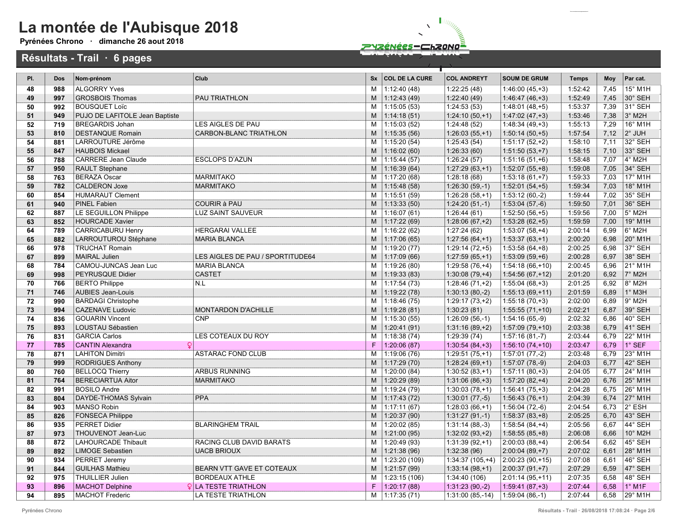Pyrénées Chrono · dimanche 26 aout 2018

Résultats - Trail · 6 pages



Pl. Dos Nom-prénom Club Sx COL DE LA CURE COL ANDREYT SOUM DE GRUM Temps Moy Par cat. 48 988 ALGORRY Yves M 1:12:40 (48) 1:22:25 (48) 1:46:00 (45,+3) 1:52:42 7,45 15° M1H 49 997 GROSBOIS Thomas PAU TRIATHLON M 1:12:43 (49) 1:22:40 (49) 1:46:47 (46,+3) 1:52:49 7,45 30° SEH 50 992 BOUSQUET Loïc M 1:15:05 (53) 1:24:53 (53) 1:48:01 (48,+5) 1:53:37 7,39 31° SEH 51 949 PUJO DE LAFITOLE Jean Baptiste M 1:42 (51) M 1:42:18 (51) 1:24:10 (50,+1) 1:47:02 (47,+3) 1:53:46 7,38 3° M2H 52 719 BREGARDIS Johan LES AIGLES DE PAU M 1:15:03 (52) 1:24:48 (52) 1:48:34 (49,+3) 1:55:13 7,29 16° M1H 53 810 DESTANQUE Romain CARBON-BLANC TRIATHLON M 1:15:35 (56) 1:26:03 (55,+1) 1:50:14 (50,+5) 1:57:54 7,12 2° JUH 54 881 LARROUTURE Jérôme M 1:15:20 (54) 1:25:43 (54) 1:51:17 (52,+2) 1:58:10 7,11 32° SEH 55 847 HAUBOIS Mickael M 1:16:02 (60) 1:26:33 (60) 1:51:50 (53,+7) 1:58:15 7,10 33° SEH 56 788 CARRERE Jean Claude ESCLOPS D'AZUN M 1:15:44 (57) 1:26:24 (57) 1:51:16 (51,+6) 1:58:48 7,07 4° M2H 57 950 RAULT Stephane M 1:16:39 (64) 1:27:29 (63,+1) 1:52:07 (55,+8) 1:59:08 7,05 34° SEH 58 763 BERAZA Oscar MARMITAKO M 1:17:20 (68) 1:28:18 (68) 1:53:18 (61,+7) 1:59:33 7,03 17° M1H 59 782 CALDERON Joxe MARMITAKO MARMITAKO M 1:15:48 (58) 1:26:30 (59,-1) 1:52:01 (54,+5) 1:59:34 7,03 18° M1H 60 854 HUMARAUT Clement M 1:15:51 (59) 1:26:28 (58,+1) 1:53:12 (60,-2) 1:59:44 7,02 35° SEH 61 940 PINEL Fabien COURIR à PAU COURIR à PAU M 1:13:33 (50) 1:24:20 (51,-1) 1:53:04 (57,-6) 1:59:50 7,01 36° SEH 62 887 LE SEGUILLON Philippe LUZ SAINT SAUVEUR M 1:16:07 (61) 1:26:44 (61) 1:52:50 (56,+5) 1:59:56 7,00 5° M2H 63 852 HOURCADE Xavier M 1:17:22 (69) 1:28:06 (67,+2) 1:53:28 (62,+5) 1:59:59 7,00 19° M1H 64 789 CARRICABURU Henry HERGARAI VALLEE M 1:16:22 (62) 1:27:24 (62) 1:53:07 (58,+4) 2:00:14 6,99 6° M2H 65 882 LARROUTUROU Stéphane MARIA BLANCA M 1:17:06 (65) 1:27:56 (64,+1) 1:53:37 (63,+1) 2:00:20 6,98 20° M1H 66 978 TRUCHAT Romain M 1:19:20 (77) 1:29:14 (72,+5) 1:53:58 (64,+8) 2:00:25 6,98 37° SEH 67 899 MAIRAL Julien LES AIGLES DE PAU / SPORTITUDE64 M 1:17:09 (66) 1:27:59 (65,+1) 1:53:09 (59,+6) 2:00:28 6,97 38° SEH 68 784 CAMOU-JUNCAS Jean Luc MARIA BLANCA M 1:19:26 (80) 1:29:58 (76,+4) 1:54:18 (66,+10) 2:00:45 6,96 21° M1H 69 998 PEYRUSQUE Didier CASTET CASTET CASTET M 1:19:33 (83) 1:30:08 (79,+4) 1:54:56 (67,+12) 2:01:20 6,92 7° M2H 70 766 BERTO Philippe N.L M 1:17:54 (73) 1:28:46 (71,+2) 1:55:04 (68,+3) 2:01:25 6,92 8° M2H 71 746 AUBIES Jean-Louis M 1:19:22 (78) 1:30:13 (80,-2) 1:55:13 (69,+11) 2:01:59 6,89 1° M3H 72 990 BARDAGI Christophe M 1:18:46 (75) 1:29:17 (73,+2) 1:55:18 (70,+3) 2:02:00 6,89 9° M2H 73 994 CAZENAVE Ludovic MONTARDON D'ACHILLE M 1:19:28 (81) 1:30:23 (81) 1:55:55 (71,+10) 2:02:21 6,87 39° SEH 74 836 GOUARIN Vincent CNP M 1:15:30 (55) 1:26:09 (56,-1) 1:54:16 (65,-9) 2:02:32 6,86 40° SEH 75 893 LOUSTAU Sébastien M 1:20:41 (91) 1:31:16 (89,+2) 1:57:09 (79,+10) 2:03:38 6,79 41° SEH 76 831 GARCIA Carlos LES COTEAUX DU ROY M 1:18:38 (74) 1:29:39 (74) 1:57:16 (81,-7) 2:03:44 6,79 22° M1H 77 785 CANTIN Alexandra F 1:20:06 (87) 1:30:54 (84,+3) 1:56:10 (74,+10) 2:03:47 6,79 1° SEF 78 871 LAHITON Dimitri ASTARAC FOND CLUB M 1:19:06 (76) 1:29:51 (75,+1) 1:57:01 (77,-2) 2:03:48 6,79 23° M1H 79 999 RODRIGUES Anthony M 1:17:29 (70) 1:28:24 (69,+1) 1:57:07 (78,-9) 2:04:03 6,77 42° SEH 80 760 BELLOCQ Thierry ARBUS RUNNING M 1:20:00 (84) 1:30:52 (83,+1) 1:57:11 (80,+3) 2:04:05 6,77 24° M1H 81 764 BERECIARTUA Aitor MARMITAKO MARMITAKO M 1:20:29 (89) 1:31:06 (86,+3) 1:57:20 (82,+4) 2:04:20 6,76 25° M1H 82 991 BOSILO Andre M 1:19:24 (79) 1:30:03 (78,+1) 1:56:41 (75,+3) 2:04:28 6,75 26° M1H 83 804 DAYDE-THOMAS Sylvain PPA PPA M 1:17:43 (72) 1:30:01 (77,-5) 1:56:43 (76,+1) 2:04:39 6,74 27° M1H 84 903 MANSO Robin M 1:17:11 (67) 1:28:03 (66,+1) 1:56:04 (72,-6) 2:04:54 6,73 2° ESH 85 826 FONSECA Philippe M 1:20:37 (90) 1:31:27 (91,-1) 1:58:37 (83,+8) 2:05:25 6,70 43° SEH 86 935 PERRET Didier BLARINGHEM TRAIL M 1:20:02 (85) 1:31:14 (88,-3) 1:58:54 (84,+4) 2:05:56 6,67 44° SEH 87 973 THOUVENOT Jean-Luc M 1:21:00 (95) 1:32:02 (93,+2) 1:58:55 (85,+8) 2:06:08 6,66 10° M2H 88 872 LAHOURCADE Thibault RACING CLUB DAVID BARATS M 1:20:49 (93) 1:31:39 (92,+1) 2:00:03 (88,+4) 2:06:54 6,62 45° SEH 89 892 LIMOGE Sebastien UACB BRIOUX M 1:21:38 (96) 1:32:38 (96) 2:00:04 (89,+7) 2:07:02 6,61 28° M1H 90 934 PERRET Jeremy M 1:23:20 (109) 1:34:37 (105,+4) 2:00:23 (90,+15) 2:07:08 6,61 46° SEH 91 844 GUILHAS Mathieu BEARN VTT GAVE ET COTEAUX M 1:21:57 (99) 1:33:14 (98,+1) 2:00:37 (91,+7) 2:07:29 6,59 47° SEH 92 975 THUILLIER Julien BORDEAUX ATHLE M 1:23:15 (106) 1:34:40 (106) 2:01:14 (95,+11) 2:07:35 6,58 48° SEH 93 896 MACHOT Delphine CLA TESTE TRIATHLON F 1:20:17 (88) 1:31:23 (90,-2) 1:59:41 (87,+3) 2:07:44 6,58 1° M1F

94 895 MACHOT Frederic LA TESTE TRIATHLON M 1:17:35 (71) 1:31:00 (85,-14) 1:59:04 (86,-1) 2:07:44 6,58 29° M1H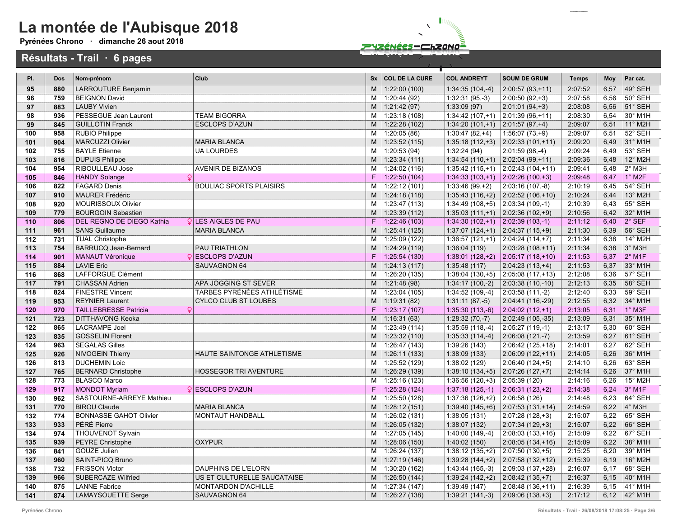Pyrénées Chrono · dimanche 26 aout 2018



| PI.        | <b>Dos</b> | Nom-prénom                                       | Club                           | <b>Sx</b> | <b>COL DE LA CURE</b>          | <b>COL ANDREYT</b>                   | <b>SOUM DE GRUM</b>                       | <b>Temps</b>       | Moy          | Par cat.               |
|------------|------------|--------------------------------------------------|--------------------------------|-----------|--------------------------------|--------------------------------------|-------------------------------------------|--------------------|--------------|------------------------|
| 95         | 880        | LARROUTURE Benjamin                              |                                | M         | 1:22:00(100)                   | $1:34:35(104,-4)$                    | $ 2:00:57(93,+11) $                       | 2:07:52            | 6,57         | 49° SEH                |
| 96         | 759        | <b>BEIGNON David</b>                             |                                | M         | 1:20:44 (92)                   | $1:32:31(95,-3)$                     | $2:00:50(92,+3)$                          | 2:07:58            | 6,56         | 50° SEH                |
| 97         | 883        | <b>LAUBY Vivien</b>                              |                                | M         | 1:21:42(97)                    | 1:33:09(97)                          | $2:01:01(94,+3)$                          | 2:08:08            | 6,56         | 51° SEH                |
| 98         | 936        | PESSEGUE Jean Laurent                            | <b>TEAM BIGORRA</b>            | M         | 1:23:18 (108)                  | $1:34:42(107,+1)$                    | $ 2:01:39(96,+11)$                        | 2:08:30            | 6.54         | 30° M1H                |
| 99         | 845        | <b>GUILLOTIN Franck</b>                          | <b>ESCLOPS D'AZUN</b>          | M         | 1:22:28 (102)                  | 1:34:20 $(101,+1)$ 2:01:57 $(97,+4)$ |                                           | 2:09:07            | 6,51         | 11° M2H                |
| 100        | 958        | <b>RUBIO Philippe</b>                            |                                | M         | 1:20:05(86)                    | $1:30:47(82,+4)$                     | $1:56:07(73,+9)$                          | 2:09:07            | 6.51         | 52° SEH                |
| 101        | 904        | <b>MARCUZZI Olivier</b>                          | <b>MARIA BLANCA</b>            | M         | 1:23:52(115)                   |                                      | $1:35:18(112,+3)$ 2:02:33 (101, +11)      | 2:09:20            | 6.49         | 31° M1H                |
| 102        | 755        | <b>BAYLE Etienne</b>                             | <b>UA LOURDES</b>              | M         | 1:20:53(94)                    | 1:32:24 (94)                         | $2:01:59(98,-4)$                          | 2:09:24            | 6.49         | 53° SEH                |
| 103        | 816        | <b>DUPUIS Philippe</b>                           |                                | M         | 1:23:34(111)                   | $1:34:54(110,+1)$ 2:02:04 (99, +11)  |                                           | 2:09:36            | 6,48         | 12° M2H                |
| 104        | 954        | RIBOULLEAU Jose                                  | AVENIR DE BIZANOS              | M         | 1:24:02 (116)                  | $1:35:42(115,+1)$                    | $ 2:02:43(104,+11)$                       | 2:09:41            | 6,48         | $2^{\circ}$ M3H        |
| 105        | 846        | <b>HANDY Solange</b>                             |                                | F         | 1:22:50(104)                   | $1:34:33(103,+1)$                    | $ 2:02:26(100,+3) $                       | 2:09:48            | 6,47         | $1^\circ$ M2F          |
| 106        | 822        | <b>FAGARD Denis</b>                              | <b>BOULIAC SPORTS PLAISIRS</b> | M         | 1:22:12 (101)                  | $1:33:46(99,+2)$                     | $ 2:03:16(107,-8) $                       | 2:10:19            | 6,45         | 54° SEH                |
| 107        | 910        | <b>MAURER Frédéric</b>                           |                                | M         | 1:24:18(118)                   | $1:35:43(116,+2)$                    | $ 2:02:52(106,+10)$                       | 2:10:24            | 6,44         | 13° M2H                |
| 108        | 920        | MOURISSOUX Olivier                               |                                | M         | 1:23:47(113)                   | $1:34:49(108,+5)$                    | $ 2:03:34(109,-1) $                       | 2:10:39            | 6.43         | 55° SEH                |
| 109        | 779        | <b>BOURGOIN Sebastien</b>                        |                                | M         | 1:23:39(112)                   | $1:35:03(111,+1)$ 2:02:36 (102, +9)  |                                           | 2:10:56            | 6,42         | 32° M1H                |
| 110        | 806        | DEL REGNO DE DIEGO Kathia                        | <b>QLES AIGLES DE PAU</b>      | F         | 1:22:46(103)                   | $1:34:30(102,+1)$ 2:02:39 (103,-1)   |                                           | 2:11:12            | 6.40         | $2^\circ$ SEF          |
| 111        | 961        | <b>SANS Guillaume</b>                            | <b>MARIA BLANCA</b>            | M         | 1:25:41(125)                   | 1:37:07 (124, +1) $ 2:04:37(115,+9)$ |                                           | 2:11:30            | 6.39         | 56° SEH                |
| 112        | 731        | <b>TUAL Christophe</b>                           |                                | м         | 1:25:09 (122)                  | $1:36:57(121,+1)$                    | $ 2:04:24(114,+7) $                       | 2:11:34            | 6,38         | 14° M2H                |
| 113        | 754        | <b>BARRUCQ Jean-Bernard</b>                      | PAU TRIATHLON                  | M         | 1:24:29 (119)                  | 1:36:04(119)                         | $2:03:28(108,+11)$                        | 2:11:34            | 6,38         | $3^\circ$ M3H          |
| 114        | 901        | <b>MANAUT Véronique</b>                          | <b>QESCLOPS D'AZUN</b>         | F         | 1:25:54(130)                   | $1:38:01(128,+2)$                    | $ 2:05:17(118,+10) $                      | 2:11:53            | 6,37         | $2°$ M1F               |
| 115        | 884        | <b>LAVIE Eric</b>                                | SAUVAGNON 64                   | M         | 1:24:13(117)                   | 1:35:48(117)                         | $2:04:23(113,+4)$                         | 2:11:53            | 6,37         | 33° M1H                |
| 116        | 868        | LAFFORGUE Clément                                |                                | M         | 1:26:20 (135)                  | $1:38:04(130,+5)$                    | $ 2:05:08(117,+13)$                       | 2:12:08            | 6,36         | 57° SEH                |
| 117        | 791        | <b>CHASSAN Adrien</b>                            | APA JOGGING ST SEVER           | M         | 1:21:48(98)                    | $1:34:17(100,-2)$                    | $ 2:03:38(110,-10) $                      | 2:12:13            | 6,35         | 58° SEH                |
| 118        | 824        | <b>FINESTRE Vincent</b>                          | TARBES PYRÉNÉES ATHLÉTISME     | M         | 1:23:04 (105)                  | $1:34:52(109,-4)$                    | $ 2:03:58(111,-2) $                       | 2:12:40            | 6,33         | 59° SEH                |
| 119        | 953        | <b>REYNIER Laurent</b>                           | <b>CYLCO CLUB ST LOUBES</b>    | M         | 1:19:31(82)                    | $1:31:11(87,-5)$                     | 2:04:41 (116,-29)                         | 2:12:55            | 6.32         | 34° M1H                |
| 120        | 970        | <b>TAILLEBRESSE Patricia</b>                     |                                | F         | 1:23:17(107)                   | $1:35:30(113,-6)$                    | $ 2:04:02(112,+1) $                       | 2:13:05            | 6,31         | $1^\circ$ M3F          |
| 121        | 723        | DITTHAVONG Keoka                                 |                                | M         | 1:16:31(63)                    | $1:28:32(70,-7)$                     | $ 2:02:49(105,-35) $                      | 2:13:09            | 6,31         | 35° M1H                |
| 122        | 865        | <b>LACRAMPE Joel</b>                             |                                | M         | 1:23:49 (114)                  | $1:35:59(118,-4)$                    | $ 2:05:27(119,-1) $                       | 2:13:17            | 6,30         | 60° SEH                |
| 123<br>124 | 835<br>963 | <b>GOSSELIN Florent</b><br><b>SEGALAS Gilles</b> |                                | M<br>M    | 1:23:32 (110)<br>1:26:47 (143) | $1:35:33(114,-4)$<br>1:39:26 (143)   | $ 2:06:08(121,-7) $<br>$2:06:42(125,+18)$ | 2:13:59<br>2:14:01 | 6.27<br>6,27 | 61° SEH<br>62° SEH     |
| 125        | 926        | <b>NIVOGEIN Thierry</b>                          | HAUTE SAINTONGE ATHLETISME     | M         | 1:26:11(133)                   | 1:38:09 (133)                        | $2:06:09(122,+11)$                        | 2:14:05            | 6.26         | 36° M1H                |
| 126        | 813        | <b>DUCHEMIN Loic</b>                             |                                | M         | 1:25:52 (129)                  | 1:38:02 (129)                        | $2:06:40(124,+5)$                         | 2:14:10            | 6.26         | 63° SEH                |
| 127        | 765        | <b>BERNARD Christophe</b>                        | <b>HOSSEGOR TRI AVENTURE</b>   | M         | 1:26:29 (139)                  | $1:38:10(134,+5)$                    | $ 2:07:26(127,+7) $                       | 2:14:14            | 6.26         | 37° M1H                |
| 128        | 773        | <b>BLASCO Marco</b>                              |                                | M         | 1:25:16 (123)                  | $1:36:56(120,+3)$                    | 2:05:39 (120)                             | 2:14:16            | 6,26         | 15° M2H                |
| 129        | 917        | <b>MONDOT Myriam</b>                             | <b>♀ESCLOPS D'AZUN</b>         | F         | 1:25:28(124)                   | $1:37:18(125,-1)$                    | $ 2:06:31(123,+2) $                       | 2:14:38            | 6,24         | 3° M1F                 |
| 130        | 962        | SASTOURNE-ARREYE Mathieu                         |                                | M         | 1:25:50 (128)                  | $1:37:36(126,+2)$                    | 2:06:58(126)                              | 2:14:48            | 6,23         | 64° SEH                |
| 131        | 770        | <b>BIROU Claude</b>                              | <b>MARIA BLANCA</b>            | M         | 1:28:12(151)                   |                                      | $1:39:40(145,+6)$ 2:07:53 (131, +14)      | 2:14:59            | 6,22         | $4^\circ$ M3H          |
| 132        | 774        | <b>BONNASSE GAHOT Olivier</b>                    | <b>MONTAUT HANDBALL</b>        | M         | 1:26:02 (131)                  | 1:38:05 (131)                        | $2:07:28(128,+3)$                         | 2:15:07            | 6,22         | 65° SEH                |
| 133        | 933        | <b>PÉRÉ Pierre</b>                               |                                | M         | 1:26:05(132)                   | 1:38:07 (132)                        | $2:07:34(129,+3)$                         | 2:15:07            | 6,22         | 66° SEH                |
| 134        | 974        | <b>THOUVENOT Sylvain</b>                         |                                | M         | 1:27:05(145)                   | $1:40:00(149,-4)$                    | $2:08:03(133,+16)$                        | 2:15:09            | 6,22         | 67° SEH                |
| 135        | 939        | <b>PEYRE Christophe</b>                          | <b>OXYPUR</b>                  | M         | 1:28:06 (150)                  | 1:40:02 (150)                        | 2:08:05 (134,+16)                         | 2:15:09            | 6,22         | 38° M1H                |
| 136        | 841        | <b>GOUZE Julien</b>                              |                                | M         | 1:26:24 (137)                  | $1:38:12(135,+2)$                    | $ 2:07:50(130,+5) $                       | 2:15:25            | 6.20         | 39° M1H                |
| 137        | 960        | SAINT-PICQ Bruno                                 |                                | M         | 1:27:19(146)                   | $1:39:28(144,+2)$                    | $ 2:07:58(132,+12) $                      | 2:15:39            | 6,19         | 16° M2H                |
| 138        | 732        | <b>FRISSON Victor</b>                            | DAUPHINS DE L'ELORN            | M         | 1:30:20 (162)                  | $1:43:44(165,-3)$                    | 2:09:03 (137, +28)                        | 2:16:07            | 6.17         | 68° SEH                |
| 139        | 966        | <b>SUBERCAZE Wilfried</b>                        | US ET CULTURELLE SAUCATAISE    | M         | 1:26:50(144)                   | $1:39:24(142,+2)$                    | $2:08:42(135,+7)$                         | 2:16:37            | 6,15         | $ 40^\circ$ M1H        |
| 140        | 875        | <b>LANNE Fabrice</b>                             | MONTARDON D'ACHILLE            | M         | 1:27:34 (147)                  | 1:39:49 (147)                        | $2:08:48(136,+11)$                        | 2:16:39            | 6.15         | 41° M1H                |
| 141        | 874        | <b>LAMAYSOUETTE Serge</b>                        | SAUVAGNON 64                   | M         | 1:26:27(138)                   | $1:39:21(141,-3)$                    | $ 2:09:06(138,+3) $                       | 2:17:12            |              | 6,12 $ 42^{\circ}$ M1H |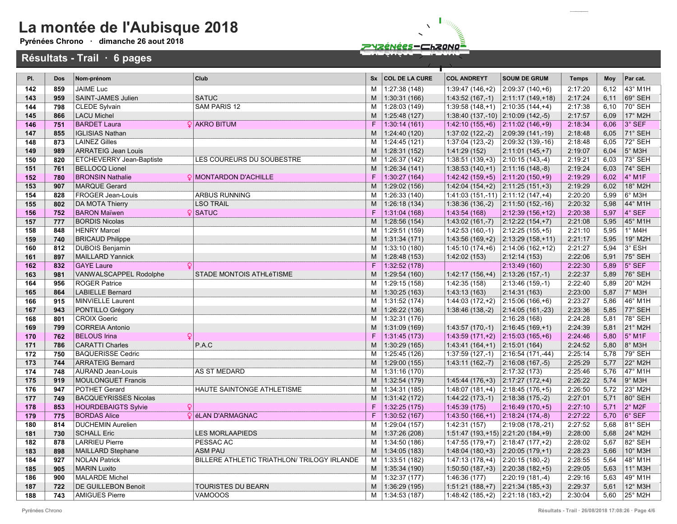Pyrénées Chrono · dimanche 26 aout 2018



| PI. | Dos | Nom-prénom                   | Club                                        | <b>Sx</b> | <b>COL DE LA CURE</b> | <b>COL ANDREYT</b>                                    | <b>SOUM DE GRUM</b>                      | <b>Temps</b> | Moy  | Par cat.              |
|-----|-----|------------------------------|---------------------------------------------|-----------|-----------------------|-------------------------------------------------------|------------------------------------------|--------------|------|-----------------------|
| 142 | 859 | <b>JAIME Luc</b>             |                                             | м         | 1:27:38(148)          | $1:39:47(146,+2)$                                     | $ 2:09:37(140,+6) $                      | 2:17:20      | 6,12 | 43° M1H               |
| 143 | 959 | SAINT-JAMES Julien           | <b>SATUC</b>                                | M         | 1:30:31(166)          | $1:43:52(167,-1)$                                     | $ 2:11:17(149,+18)$                      | 2:17:24      | 6.11 | 69° SEH               |
| 144 | 798 | <b>CLEDE Sylvain</b>         | <b>SAM PARIS 12</b>                         | M         | 1:28:03 (149)         | $1:39:58(148,+1)$ 2:10:35 (144, +4)                   |                                          | 2:17:38      | 6.10 | 70° SEH               |
| 145 | 866 | <b>LACU Michel</b>           |                                             | M         | 1:25:48(127)          | 1:38:40 $(137,-10)$ 2:10:09 $(142,-5)$                |                                          | 2:17:57      | 6.09 | 17° M2H               |
| 146 | 751 | <b>BARDET Laura</b>          | <b>Q</b> AKRO BITUM                         | F         | 1:30:14(161)          | $1:42:10(155,+6)$ 2:11:02 (146,+9)                    |                                          | 2:18:34      | 6.06 | 3° SEF                |
| 147 | 855 | <b>IGLISIAS Nathan</b>       |                                             | M         | 1:24:40 (120)         | $1:37:02(122,-2)$                                     | $ 2:09:39(141,-19)$                      | 2:18:48      | 6,05 | 71° SEH               |
| 148 | 873 | <b>LAINEZ Gilles</b>         |                                             | М         | 1:24:45 (121)         | $1:37:04(123,-2)$                                     | $ 2:09:32(139,-16) $                     | 2:18:48      | 6,05 | 72° SEH               |
| 149 | 989 | <b>ARRATEIG Jean Louis</b>   |                                             | M         | 1:28:31 (152)         | 1:41:29 (152)                                         | $2:11:01(145,+7)$                        | 2:19:07      | 6,04 | $5^\circ$ M3H         |
| 150 | 820 | ETCHEVERRY Jean-Baptiste     | LES COUREURS DU SOUBESTRE                   | M         | 1:26:37 (142)         | $1:38:51(139,+3)$ 2:10:15 (143,-4)                    |                                          | 2:19:21      | 6,03 | 73° SEH               |
| 151 | 761 | <b>BELLOCQ Lionel</b>        |                                             | M         | 1:26:34(141)          | $1:38:53(140,+1)$ 2:11:16 (148,-8)                    |                                          | 2:19:24      | 6.03 | 74° SEH               |
| 152 | 780 | <b>BRONSIN Nathalie</b>      | <b>Q</b> MONTARDON D'ACHILLE                | F         | 1:30:27(164)          | $1:42:42(159,+5)$                                     | $ 2:11:20(150,+9)$                       | 2:19:29      | 6,02 | $4°$ M <sub>1</sub> F |
| 153 | 907 | <b>MARQUE Gerard</b>         |                                             | M         | 1:29:02 (156)         | $1:42:04(154,+2)$ 2:11:25 (151,+3)                    |                                          | 2:19:29      | 6.02 | 18° M2H               |
| 154 | 828 | <b>FROGER Jean-Louis</b>     | <b>ARBUS RUNNING</b>                        | м         | 1:26:33 (140)         | $1:41:03(151,-11)$ 2:11:12 (147, +4)                  |                                          | 2:20:20      | 5.99 | $6^\circ$ M3H         |
| 155 | 802 | <b>DA MOTA Thierry</b>       | <b>LSO TRAIL</b>                            | M         | 1:26:18(134)          | 1:38:36 (136,-2) $\big  2:11:50 \big( 152, -16 \big)$ |                                          | 2:20:32      | 5,98 | 44° M1H               |
| 156 | 752 | <b>BARON Maïwen</b>          | $Q$ SATUC                                   | F         | 1:31:04(168)          | 1:43:54 (168)                                         | $2:12:39(156,+12)$                       | 2:20:38      | 5,97 | $4°$ SEF              |
| 157 | 777 | <b>BORDIS Nicolas</b>        |                                             | M         | 1:28:56 (154)         | $1:43:02(161,-7)$                                     | $ 2:12:22(154,+7) $                      | 2:21:08      | 5,95 | 45° M1H               |
| 158 | 848 | <b>HENRY Marcel</b>          |                                             | M         | 1:29:51 (159)         | $1:42:53(160,-1)$                                     | $ 2:12:25(155,+5) $                      | 2:21:10      | 5,95 | $1^\circ$ M4H         |
| 159 | 740 | <b>BRICAUD Philippe</b>      |                                             | M         | 1:31:34(171)          |                                                       | 1:43:56 (169, +2) $ 2:13:29$ (158, +11)  | 2:21:17      | 5,95 | 19° M2H               |
| 160 | 812 | <b>DUBOIS Benjamin</b>       |                                             | M         | 1:33:10 (180)         |                                                       | 1:45:10 $(174, +6)$ 2:14:06 $(162, +12)$ | 2:21:27      | 5,94 | 3° ESH                |
| 161 | 897 | <b>MAILLARD Yannick</b>      |                                             | M         | 1:28:48 (153)         | 1:42:02 (153)                                         | 2:12:14(153)                             | 2:22:06      | 5,91 | 75° SEH               |
| 162 | 832 | <b>GAYE Laure</b>            |                                             | F         | 1:32:52(178)          |                                                       | 2:13:49(160)                             | 2:22:30      | 5,89 | $5^\circ$ SEF         |
| 163 | 981 | VANWALSCAPPEL Rodolphe       | STADE MONTOIS ATHLéTISME                    | M         | 1:29:54 (160)         | $1:42:17(156,+4)$ 2:13:26 (157,-1)                    |                                          | 2:22:37      | 5,89 | 76° SEH               |
| 164 | 956 | <b>ROGER Patrice</b>         |                                             | м         | 1:29:15 (158)         | 1:42:35 (158)                                         | $2:13:46(159,-1)$                        | 2:22:40      | 5.89 | 20° M2H               |
| 165 | 864 | <b>LABIELLE Bernard</b>      |                                             | M         | 1:30:25(163)          | 1:43:13(163)                                          | 2:14:31(163)                             | 2:23:00      | 5,87 | 7° M3H                |
| 166 | 915 | <b>MINVIELLE Laurent</b>     |                                             | м         | 1:31:52(174)          | $1:44:03(172,+2)$                                     | $ 2:15:06(166,+6)$                       | 2:23:27      | 5.86 | 46° M1H               |
| 167 | 943 | PONTILLO Grégory             |                                             | M         | 1:26:22 (136)         | $1:38:46(138,-2)$                                     | $ 2:14:05(161,-23) $                     | 2:23:36      | 5,85 | 77° SEH               |
| 168 | 801 | <b>CROIX Goeric</b>          |                                             | M         | 1:32:31(176)          |                                                       | 2:16:28 (168)                            | 2:24:28      | 5.81 | 78° SEH               |
| 169 | 799 | <b>CORREIA Antonio</b>       |                                             | M         | 1:31:09 (169)         | $1:43:57(170,-1)$                                     | $ 2:16:45(169,+1) $                      | 2:24:39      | 5,81 | 21° M2H               |
| 170 | 762 | <b>BELOUS Irina</b>          |                                             | F         | 1:31:45(173)          | $1:43:59(171,+2)$                                     | $ 2:15:03(165,+6) $                      | 2:24:46      | 5,80 | $5°$ M <sub>1</sub> F |
| 171 | 786 | <b>CARATTI Charles</b>       | P.A.C                                       | M         | 1:30:29(165)          | $1:43:41(164,+1)$ 2:15:01 (164)                       |                                          | 2:24:52      | 5,80 | 8° M3H                |
| 172 | 750 | <b>BAQUERISSE Cedric</b>     |                                             | м         | 1:25:45 (126)         | $1:37:59(127,-1)$                                     | $ 2:16:54(171,-44)$                      | 2:25:14      | 5,78 | 79° SEH               |
| 173 | 744 | <b>ARRATEIG Bernard</b>      |                                             | M         | 1:29:00 (155)         | $1:43:11(162,-7)$                                     | $ 2:16:08(167,-5) $                      | 2:25:29      | 5,77 | 22° M2H               |
| 174 | 748 | <b>AURAND Jean-Louis</b>     | <b>AS ST MEDARD</b>                         | М         | 1:31:16(170)          |                                                       | 2:17:32 (173)                            | 2:25:46      | 5,76 | 47° M1H               |
| 175 | 919 | <b>MOULONGUET Francis</b>    |                                             | M         | 1:32:54 (179)         | $1:45:44(176,+3)$                                     | $ 2:17:27(172,+4)$                       | 2:26:22      | 5,74 | $ 9°$ M3H             |
| 176 | 947 | <b>POTHET Gerard</b>         | HAUTE SAINTONGE ATHLETISME                  | M         | 1:34:31(185)          | $1:48:07(181,+4)$                                     | $ 2:18:45(176,+5)$                       | 2:26:50      | 5,72 | 23° M2H               |
| 177 | 749 | <b>BACQUEYRISSES Nicolas</b> |                                             | M         | 1:31:42 (172)         | $1:44:22(173,-1)$                                     | $ 2:18:38(175,-2) $                      | 2:27:01      | 5,71 | $ 80^\circ$ SEH       |
| 178 | 853 | <b>HOURDEBAIGTS Sylvie</b>   |                                             | F         | 1:32:25(175)          | 1:45:39(175)                                          | $2:16:49(170,+5)$                        | 2:27:10      | 5,71 | $2^{\circ}$ M2F       |
| 179 | 775 | <b>BORDAS Alice</b>          | <b>Q</b> éLAN D'ARMAGNAC                    | F         | 1:30:52(167)          | $1:43:50(166,+1)$ 2:18:24 (174,-8)                    |                                          | 2:27:22      | 5,70 | $ 6°$ SEF             |
| 180 | 814 | <b>DUCHEMIN Aurelien</b>     |                                             | м         | 1:29:04 (157)         | 1:42:31(157)                                          | 2:19:08 (178,-21)                        | 2:27:52      | 5,68 | 81° SEH               |
| 181 | 730 | <b>SCHALL Eric</b>           | <b>LES MORLAAPIEDS</b>                      | M         | 1:37:26 (208)         | $1:51:47(193,+15)$ 2:21:20 (184, +9)                  |                                          | 2:28:00      | 5,68 | 24° M2H               |
| 182 | 878 | <b>LARRIEU Pierre</b>        | PESSAC AC                                   | м         | 1:34:50 (186)         | $1:47:55(179,+7)$ 2:18:47 (177, +2)                   |                                          | 2:28:02      | 5,67 | 82° SEH               |
| 183 | 898 | MAILLARD Stephane            | <b>ASM PAU</b>                              | M         | 1:34:05(183)          | $1:48:04(180,+3)$ 2:20:05 (179,+1)                    |                                          | 2:28:23      | 5,66 | 10° M3H               |
| 184 | 927 | <b>NOLAN Patrick</b>         | BILLERE ATHLETIC TRIATHLON/ TRILOGY IRLANDE | м         | 1:33:51 (182)         | $1:47:13(178,+4)$ 2:20:15 (180,-2)                    |                                          | 2:28:55      | 5.64 | 48° M1H               |
| 185 | 905 | <b>MARIN Luxito</b>          |                                             | M         | 1:35:34 (190)         | 1:50:50 $(187, +3)$ 2:20:38 $(182, +5)$               |                                          | 2:29:05      | 5.63 | 11° M3H               |
| 186 | 900 | <b>MALARDE Michel</b>        |                                             | м         | 1:32:37(177)          | 1:46:36 (177)                                         | $2:20:19(181,-4)$                        | 2:29:16      | 5,63 | 49° M1H               |
| 187 | 722 | <b>DE GUILLEBON Benoit</b>   | <b>TOURISTES DU BEARN</b>                   | M         | 1:36:29 (195)         | $1:51:21(188,+7)$ 2:21:34 (185, +3)                   |                                          | 2:29:37      | 5,61 | 12° M3H               |
| 188 | 743 | <b>AMIGUES Pierre</b>        | <b>VAMOOOS</b>                              | м         | 1:34:53(187)          | $1:48:42(185,+2)$ 2:21:18 (183, +2)                   |                                          | 2:30:04      | 5.60 | 25° M2H               |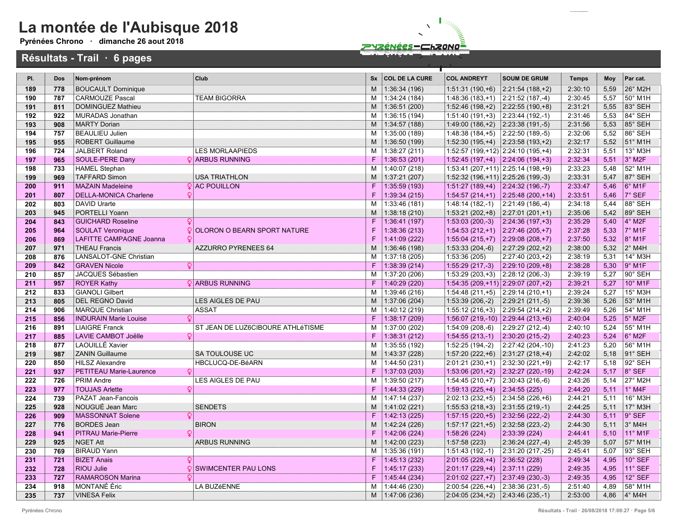Pyrénées Chrono · dimanche 26 aout 2018

Résultats - Trail · 6 pages

# **ENZÉNÉES-CHZONO<sup>E</sup>**

| PI. | <b>Dos</b> | Nom-prénom                     | Club                              | <b>Sx</b> | <b>COL DE LA CURE</b> | <b>COL ANDREYT</b>                                  | <b>SOUM DE GRUM</b> | <b>Temps</b> | Moy  | Par cat.                    |
|-----|------------|--------------------------------|-----------------------------------|-----------|-----------------------|-----------------------------------------------------|---------------------|--------------|------|-----------------------------|
| 189 | 778        | <b>BOUCAULT Dominique</b>      |                                   | M         | 1:36:34(196)          | $1:51:31(190,+6)$                                   | $ 2:21:54(188,+2) $ | 2:30:10      | 5,59 | $26^\circ$ M <sub>2</sub> H |
| 190 | 787        | <b>CARMOUZE Pascal</b>         | <b>TEAM BIGORRA</b>               | M         | 1:34:24 (184)         | $1:48:36(183,+1)$                                   | $ 2:21:52(187,-4) $ | 2:30:45      | 5,57 | 50° M1H                     |
| 191 | 811        | <b>DOMINGUEZ Mathieu</b>       |                                   | M         | 1:36:51(200)          | $1:52:46(198,+2)$ 2:22:55 (190, +8)                 |                     | 2:31:21      | 5,55 | 83° SEH                     |
| 192 | 922        | <b>MURADAS Jonathan</b>        |                                   | M         | 1:36:15 (194)         | $1:51:40(191,+3)$                                   | $ 2:23:44(192,-1) $ | 2:31:46      | 5,53 | 84° SEH                     |
| 193 | 908        | <b>MARTY Dorian</b>            |                                   | M         | 1:34:57 (188)         | 1:49:00 $(186, +2)$ 2:23:38 $(191, -5)$             |                     | 2:31:56      | 5,53 | 85° SEH                     |
| 194 | 757        | <b>BEAULIEU Julien</b>         |                                   | M         | 1:35:00 (189)         | $1:48:38(184,+5)$ 2:22:50 (189,-5)                  |                     | 2:32:06      | 5.52 | 86° SEH                     |
| 195 | 955        | <b>ROBERT Guillaume</b>        |                                   | M         | 1:36:50 (199)         | $\vert 1:52:30(195,+4) \vert 2:23:58(193,+2) \vert$ |                     | 2:32:17      | 5,52 | 51° M1H                     |
| 196 | 724        | <b>JALBERT Roland</b>          | <b>LES MORLAAPIEDS</b>            | M         | 1:38:27 (211)         | $1:52:57(199,+12)$ 2:24:10 (195,+4)                 |                     | 2:32:31      | 5,51 | 13° M3H                     |
| 197 | 965        | SOULE-PERE Dany                | <b>QARBUS RUNNING</b>             | F         | 1:36:53 (201)         | $1:52:45(197,+4)$ 2:24:06 (194, +3)                 |                     | 2:32:34      | 5,51 | $3°$ M <sub>2</sub> F       |
| 198 | 733        | <b>HAMEL</b> Stephan           |                                   | M         | 1:40:07 (218)         | $1:53:41(207,+11)$ 2:25:14 (198,+9)                 |                     | 2:33:23      | 5.48 | 52° M1H                     |
| 199 | 969        | <b>TAFFARD Simon</b>           | <b>USA TRIATHLON</b>              | M         | 1:37:21 (207)         | $1:52:32(196,+11)$ $2:25:26(199,-3)$                |                     | 2:33:31      | 5,47 | 87° SEH                     |
| 200 | 911        | <b>MAZAIN Madeleine</b>        | <b>AC POUILLON</b>                | F         | 1:35:59 (193)         | $1:51:27(189,+4)$ 2:24:32 (196,-7)                  |                     | 2:33:47      | 5,46 | $6°$ M1F                    |
| 201 | 807        | <b>DELLA-MONICA Charlene</b>   |                                   | F         | 1:39:34 (215)         | $1:54:57(214,+1)$ 2:25:48 (200, +14)                |                     | 2:33:51      | 5,46 | 7° SEF                      |
| 202 | 803        | <b>DAVID Urarte</b>            |                                   | M         | 1:33:46 (181)         | $1:48:14(182,-1)$ 2:21:49 (186,-4)                  |                     | 2:34:18      | 5,44 | 88° SEH                     |
| 203 | 945        | <b>PORTELLI Yoann</b>          |                                   | M         | 1:38:18(210)          | $1:53:21(202,+8)$                                   | $ 2:27:01(201,+1)$  | 2:35:06      | 5,42 | 89° SEH                     |
| 204 | 843        | <b>GUICHARD Roseline</b>       |                                   | F         | 1:36:41(197)          | $1:53:03(200,-3)$                                   | $2:24:36(197,+3)$   | 2:35:29      | 5.40 | $4^\circ$ M <sub>2</sub> F  |
| 205 | 964        | <b>SOULAT Veronique</b>        | OLORON O BEARN SPORT NATURE       | F         | 1:38:36(213)          | 1:54:53 (212, +1) 2:27:46 (205, +7)                 |                     | 2:37:28      | 5,33 | $7°$ M1F                    |
| 206 | 869        | <b>LAFITTE CAMPAGNE Joanna</b> |                                   | F         | 1:41:09 (222)         | $1:55:04(215,+7)$ 2:29:08 (208, +7)                 |                     | 2:37:50      | 5.32 | $8°$ M <sub>1</sub> F       |
| 207 | 971        | <b>THEAU Francis</b>           | <b>AZZURRO PYRENEES 64</b>        | M         | 1:36:46(198)          | $1:53:33(204,-6)$                                   | $2:27:29(202,+2)$   | 2:38:00      | 5.32 | $2^\circ$ M4H               |
| 208 | 876        | LANSALOT-GNE Christian         |                                   | М         | 1:37:18 (205)         | 1:53:36 (205)                                       | 2:27:40 (203,+2)    | 2:38:19      | 5,31 | 14° M3H                     |
| 209 | 842        | <b>GRAVEN Nicole</b><br>Q      |                                   | F         | 1:38:39 (214)         | $1:55:29(217,-3)$                                   | $ 2:29:10(209,+8) $ | 2:38:28      | 5,30 | $9°$ M1F                    |
| 210 | 857        | JACQUES Sébastien              |                                   | М         | 1:37:20 (206)         | $1:53:29(203,+3)$ 2:28:12 (206,-3)                  |                     | 2:39:19      | 5,27 | 90° SEH                     |
| 211 | 957        | <b>ROYER Kathy</b>             | <b>QARBUS RUNNING</b>             |           | 1:40:29 (220)         | $1:54:35(209,+11)$ 2:29:07 (207, +2)                |                     | 2:39:21      | 5,27 | 10° M1F                     |
| 212 | 833        | <b>GIANOLI Gilbert</b>         |                                   | M         | 1:39:46 (216)         | $1:54:48(211,+5)$ 2:29:14 (210, +1)                 |                     | 2:39:24      | 5,27 | 15° M3H                     |
| 213 | 805        | <b>DEL REGNO David</b>         | LES AIGLES DE PAU                 | M         | 1:37:06 (204)         | $1:53:39(206,-2)$                                   | $ 2:29:21(211,-5) $ | 2:39:36      | 5,26 | 53° M1H                     |
| 214 | 906        | <b>MARQUE Christian</b>        | <b>ASSAT</b>                      | M         | 1:40:12 (219)         | $1:55:12(216,+3)$ 2:29:54 (214, +2)                 |                     | 2:39:49      | 5,26 | 54° M1H                     |
| 215 | 856        | <b>INDURAIN Marie Louise</b>   |                                   | F         | 1:38:17 (209)         | $1:56:07(219,-10)$ 2:29:44 (213,+6)                 |                     | 2:40:04      | 5,25 | $5^\circ$ M2F               |
| 216 | 891        | <b>LIAIGRE Franck</b>          | ST JEAN DE LUZ6CIBOURE ATHLéTISME | M         | 1:37:00 (202)         | $1:54:09(208,-6)$                                   | $ 2:29:27(212,-4) $ | 2:40:10      | 5,24 | 55° M1H                     |
| 217 | 885        | <b>LAVIE CAMBOT Joëlle</b>     |                                   | F         | 1:38:31 (212)         | $1:54:55(213,-1)$                                   | $ 2:30:20(215,-2) $ | 2:40:23      | 5,24 | $6°$ M <sub>2</sub> F       |
| 218 | 877        | <b>LAOUILLÉ Xavier</b>         |                                   | M         | 1:35:55 (192)         | 1:52:25 (194,-2)                                    | $ 2:27:42(204,-10)$ | 2:41:23      | 5,20 | 56° M1H                     |
| 219 | 987        | <b>ZANIN Guillaume</b>         | SA TOULOUSE UC                    | M         | 1:43:37 (228)         | $1:57:20(222,+6)$ 2:31:27 (218, +4)                 |                     | 2:42:02      | 5,18 | 91° SEH                     |
| 220 | 850        | <b>HILSZ Alexandre</b>         | HBCLUCQ-DE-BéARN                  | M         | 1:44:50 (231)         | $2:01:21(230,+1)$ 2:32:30 (221,+9)                  |                     | 2:42:17      | 5,18 | 92° SEH                     |
| 221 | 937        | <b>PETITEAU Marie-Laurence</b> |                                   | F         | 1:37:03 (203)         | 1:53:06 (201, +2)   2:32:27 (220, -19)              |                     | 2:42:24      | 5.17 | 8° SEF                      |
| 222 | 726        | <b>PRIM Andre</b>              | LES AIGLES DE PAU                 | M         | 1:39:50 (217)         | $1:54:45(210,+7)$                                   | $2:30:43(216,-6)$   | 2:43:26      | 5.14 | 27° M2H                     |
| 223 | 977        | <b>TOUJAS Arlette</b><br>Q     |                                   | F         | 1:44:33 (229)         | $1:59:13(225,+4)$                                   | 2:34:55(225)        | 2:44:20      | 5,11 | $1^\circ$ M4F               |
| 224 | 739        | PAZAT Jean-Fancois             |                                   | M         | 1:47:14 (237)         | $2:02:13(232,+5)$                                   | $2:34:58(226,+6)$   | 2:44:21      | 5.11 | 16° M3H                     |
| 225 | 928        | NOUGUÉ Jean Marc               | <b>SENDETS</b>                    | M         | 1:41:02 (221)         | 1:55:53 (218, +3) 2:31:55 (219, -1)                 |                     | 2:44:25      | 5,11 | 17° M3H                     |
| 226 | 909        | <b>MASSONNAT Solene</b>        |                                   | F         | 1:42:13 (225)         | $1:57:15(220,+5)$ 2:32:56 (222,-2)                  |                     | 2:44:30      | 5,11 | $9°$ SEF                    |
| 227 | 776        | <b>BORDES</b> Jean             | <b>BIRON</b>                      | M         | 1:42:24 (226)         | $1:57:17(221,+5)$                                   | $ 2:32:58(223,-2) $ | 2:44:30      | 5,11 | $3°$ M4H                    |
| 228 | 941        | <b>PITRAU Marie-Pierre</b>     |                                   | F         | 1:42:06 (224)         | 1:58:26(224)                                        | 2:33:39(224)        | 2:44:41      | 5,10 | 11° M1F                     |
| 229 | 925        | <b>NGET Att</b>                | <b>ARBUS RUNNING</b>              | M         | 1:42:00 (223)         | 1:57:58 (223)                                       | $2:36:24(227,-4)$   | 2:45:39      | 5,07 | $57^\circ$ M1H              |
| 230 | 769        | <b>BIRAUD Yann</b>             |                                   | М         | 1:35:36 (191)         | $1:51:43(192,-1)$                                   | 2:31:20 (217,-25)   | 2:45:41      | 5,07 | 93° SEH                     |
| 231 | 721        | <b>BIZET Anais</b>             |                                   | F         | 1:45:13 (232)         | $\vert 2:01:05(228,+4) \vert 2:36:52(228)$          |                     | 2:49:34      | 4,95 | 10° SEF                     |
| 232 | 728        | <b>RIOU Julie</b>              | <b>SWIMCENTER PAU LONS</b>        | F         | 1:45:17 (233)         | $2:01:17(229,+4)$ 2:37:11 (229)                     |                     | 2:49:35      | 4,95 | 11° SEF                     |
| 233 | 727        | <b>RAMAROSON Marina</b>        |                                   | F         | 1:45:44 (234)         | $ 2:01:02(227,+7) $                                 | $ 2:37:49(230,-3) $ | 2:49:35      | 4.95 | 12° SEF                     |
| 234 | 918        | MONTANÉ Éric                   | LA BUZéENNE                       | M         | 1:44:46 (230)         | 2:00:54 (226,+4)   2:38:36 (231,-5)                 |                     | 2:51:40      | 4.89 | 58° M1H                     |
| 235 | 737        | <b>VINESA Felix</b>            |                                   | M         | 1:47:06(236)          | $2:04:05(234,+2)$ 2:43:46 (235,-1)                  |                     | 2:53:00      | 4.86 | $ 4^{\circ}$ M4H            |